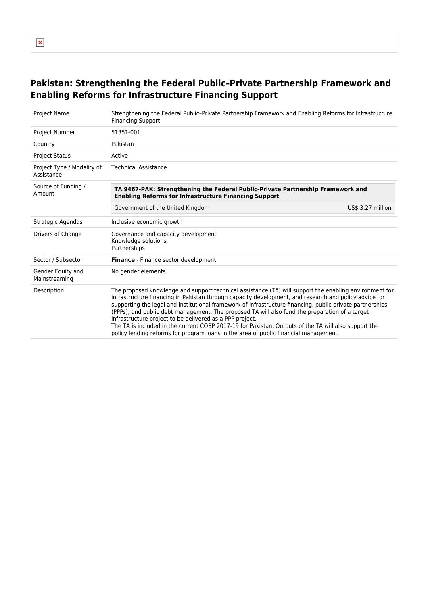## **Pakistan: Strengthening the Federal Public–Private Partnership Framework and Enabling Reforms for Infrastructure Financing Support**

| <b>Project Name</b>                      | Strengthening the Federal Public-Private Partnership Framework and Enabling Reforms for Infrastructure<br><b>Financing Support</b>                                                                                                                                                                                                                                                                                                                                                                                                                                                                                                                                                         |  |  |
|------------------------------------------|--------------------------------------------------------------------------------------------------------------------------------------------------------------------------------------------------------------------------------------------------------------------------------------------------------------------------------------------------------------------------------------------------------------------------------------------------------------------------------------------------------------------------------------------------------------------------------------------------------------------------------------------------------------------------------------------|--|--|
| <b>Project Number</b>                    | 51351-001                                                                                                                                                                                                                                                                                                                                                                                                                                                                                                                                                                                                                                                                                  |  |  |
| Country                                  | Pakistan                                                                                                                                                                                                                                                                                                                                                                                                                                                                                                                                                                                                                                                                                   |  |  |
| <b>Project Status</b>                    | Active                                                                                                                                                                                                                                                                                                                                                                                                                                                                                                                                                                                                                                                                                     |  |  |
| Project Type / Modality of<br>Assistance | <b>Technical Assistance</b>                                                                                                                                                                                                                                                                                                                                                                                                                                                                                                                                                                                                                                                                |  |  |
| Source of Funding /<br>Amount            | TA 9467-PAK: Strengthening the Federal Public-Private Partnership Framework and<br><b>Enabling Reforms for Infrastructure Financing Support</b>                                                                                                                                                                                                                                                                                                                                                                                                                                                                                                                                            |  |  |
|                                          | Government of the United Kingdom<br>US\$ 3.27 million                                                                                                                                                                                                                                                                                                                                                                                                                                                                                                                                                                                                                                      |  |  |
| Strategic Agendas                        | Inclusive economic growth                                                                                                                                                                                                                                                                                                                                                                                                                                                                                                                                                                                                                                                                  |  |  |
| Drivers of Change                        | Governance and capacity development<br>Knowledge solutions<br>Partnerships                                                                                                                                                                                                                                                                                                                                                                                                                                                                                                                                                                                                                 |  |  |
| Sector / Subsector                       | Finance - Finance sector development                                                                                                                                                                                                                                                                                                                                                                                                                                                                                                                                                                                                                                                       |  |  |
| Gender Equity and<br>Mainstreaming       | No gender elements                                                                                                                                                                                                                                                                                                                                                                                                                                                                                                                                                                                                                                                                         |  |  |
| Description                              | The proposed knowledge and support technical assistance (TA) will support the enabling environment for<br>infrastructure financing in Pakistan through capacity development, and research and policy advice for<br>supporting the legal and institutional framework of infrastructure financing, public private partnerships<br>(PPPs), and public debt management. The proposed TA will also fund the preparation of a target<br>infrastructure project to be delivered as a PPP project.<br>The TA is included in the current COBP 2017-19 for Pakistan. Outputs of the TA will also support the<br>policy lending reforms for program loans in the area of public financial management. |  |  |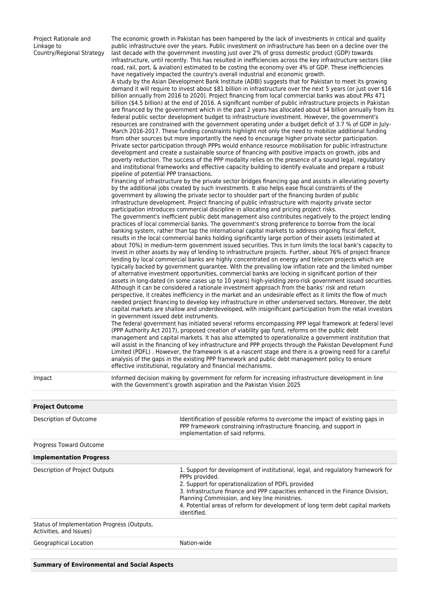Project Rationale and Linkage to Country/Regional Strategy

public infrastructure over the years. Public investment on infrastructure has been on a decline over the last decade with the government investing just over 2% of gross domestic product (GDP) towards infrastructure, until recently. This has resulted in inefficiencies across the key infrastructure sectors (like road, rail, port, & aviation) estimated to be costing the economy over 4% of GDP. These inefficiencies have negatively impacted the country's overall industrial and economic growth. A study by the Asian Development Bank Institute (ADBI) suggests that for Pakistan to meet its growing demand it will require to invest about \$81 billion in infrastructure over the next 5 years (or just over \$16 billion annually from 2016 to 2020). Project financing from local commercial banks was about PRs 471 billion (\$4.5 billion) at the end of 2016. A significant number of public infrastructure projects in Pakistan are financed by the government which in the past 2 years has allocated about \$4 billion annually from its federal public sector development budget to infrastructure investment. However, the government's resources are constrained with the government operating under a budget deficit of 3.7 % of GDP in July-March 2016-2017. These funding constraints highlight not only the need to mobilize additional funding from other sources but more importantly the need to encourage higher private sector participation. Private sector participation through PPPs would enhance resource mobilisation for public infrastructure development and create a sustainable source of financing with positive impacts on growth, jobs and poverty reduction. The success of the PPP modality relies on the presence of a sound legal, regulatory and institutional frameworks and effective capacity building to identify evaluate and prepare a robust pipeline of potential PPP transactions. Financing of infrastructure by the private sector bridges financing gap and assists in alleviating poverty by the additional jobs created by such investments. It also helps ease fiscal constraints of the government by allowing the private sector to shoulder part of the financing burden of public infrastructure development. Project financing of public infrastructure with majority private sector participation introduces commercial discipline in allocating and pricing project risks. The government's inefficient public debt management also contributes negatively to the project lending practices of local commercial banks. The government's strong preference to borrow from the local banking system, rather than tap the international capital markets to address ongoing fiscal deficit, results in the local commercial banks holding significantly large portion of their assets (estimated at about 70%) in medium-term government issued securities. This in turn limits the local bank's capacity to invest in other assets by way of lending to infrastructure projects. Further, about 76% of project finance lending by local commercial banks are highly concentrated on energy and telecom projects which are typically backed by government guarantee. With the prevailing low inflation rate and the limited number of alternative investment opportunities, commercial banks are locking in significant portion of their assets in long-dated (in some cases up to 10 years) high-yielding zero-risk government issued securities. Although it can be considered a rationale investment approach from the banks' risk and return perspective, it creates inefficiency in the market and an undesirable effect as it limits the flow of much needed project financing to develop key infrastructure in other underserved sectors. Moreover, the debt capital markets are shallow and underdeveloped, with insignificant participation from the retail investors in government issued debt instruments.

The economic growth in Pakistan has been hampered by the lack of investments in critical and quality

The federal government has initiated several reforms encompassing PPP legal framework at federal level (PPP Authority Act 2017), proposed creation of viability gap fund, reforms on the public debt management and capital markets. It has also attempted to operationalize a government institution that will assist in the financing of key infrastructure and PPP projects through the Pakistan Development Fund Limited (PDFL) . However, the framework is at a nascent stage and there is a growing need for a careful analysis of the gaps in the existing PPP framework and public debt management policy to ensure effective institutional, regulatory and financial mechanisms.

Impact Informed decision making by government for reform for increasing infrastructure development in line with the Government's growth aspiration and the Pakistan Vision 2025

| <b>Project Outcome</b>                                                 |                                                                                                                                                                                                                                                                                                                                                                                              |
|------------------------------------------------------------------------|----------------------------------------------------------------------------------------------------------------------------------------------------------------------------------------------------------------------------------------------------------------------------------------------------------------------------------------------------------------------------------------------|
| Description of Outcome                                                 | Identification of possible reforms to overcome the impact of existing gaps in<br>PPP framework constraining infrastructure financing, and support in<br>implementation of said reforms.                                                                                                                                                                                                      |
| Progress Toward Outcome                                                |                                                                                                                                                                                                                                                                                                                                                                                              |
| <b>Implementation Progress</b>                                         |                                                                                                                                                                                                                                                                                                                                                                                              |
| Description of Project Outputs                                         | 1. Support for development of institutional, legal, and regulatory framework for<br>PPPs provided.<br>2. Support for operationalization of PDFL provided<br>3. Infrastructure finance and PPP capacities enhanced in the Finance Division,<br>Planning Commission, and key line ministries.<br>4. Potential areas of reform for development of long term debt capital markets<br>identified. |
| Status of Implementation Progress (Outputs,<br>Activities, and Issues) |                                                                                                                                                                                                                                                                                                                                                                                              |
| Geographical Location                                                  | Nation-wide                                                                                                                                                                                                                                                                                                                                                                                  |
|                                                                        |                                                                                                                                                                                                                                                                                                                                                                                              |
|                                                                        |                                                                                                                                                                                                                                                                                                                                                                                              |

**Summary of Environmental and Social Aspects**